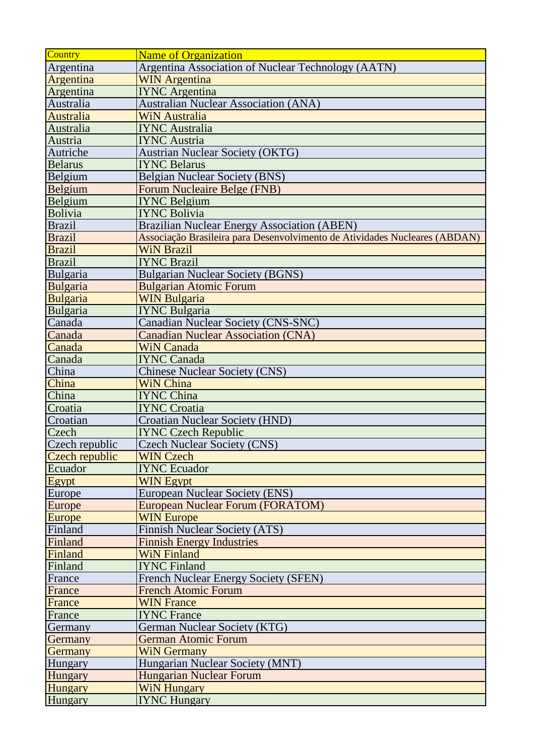| <b>Country</b>  | <b>Name of Organization</b>                                                |
|-----------------|----------------------------------------------------------------------------|
| Argentina       | Argentina Association of Nuclear Technology (AATN)                         |
| Argentina       | <b>WIN Argentina</b>                                                       |
| Argentina       | <b>IYNC</b> Argentina                                                      |
| Australia       | <b>Australian Nuclear Association (ANA)</b>                                |
| Australia       | <b>WiN Australia</b>                                                       |
| Australia       | <b>IYNC Australia</b>                                                      |
| Austria         | <b>IYNC Austria</b>                                                        |
| Autriche        | <b>Austrian Nuclear Society (OKTG)</b>                                     |
| <b>Belarus</b>  | <b>IYNC Belarus</b>                                                        |
| Belgium         | <b>Belgian Nuclear Society (BNS)</b>                                       |
| Belgium         | <b>Forum Nucleaire Belge (FNB)</b>                                         |
| Belgium         | <b>IYNC Belgium</b>                                                        |
| Bolivia         | <b>IYNC Bolivia</b>                                                        |
| <b>Brazil</b>   | <b>Brazilian Nuclear Energy Association (ABEN)</b>                         |
| <b>Brazil</b>   | Associação Brasileira para Desenvolvimento de Atividades Nucleares (ABDAN) |
| <b>Brazil</b>   | <b>WiN Brazil</b>                                                          |
| <b>Brazil</b>   | <b>IYNC Brazil</b>                                                         |
| Bulgaria        | <b>Bulgarian Nuclear Society (BGNS)</b>                                    |
| <b>Bulgaria</b> | <b>Bulgarian Atomic Forum</b>                                              |
| <b>Bulgaria</b> | <b>WIN Bulgaria</b>                                                        |
| Bulgaria        | <b>IYNC Bulgaria</b>                                                       |
| Canada          | <b>Canadian Nuclear Society (CNS-SNC)</b>                                  |
| Canada          | <b>Canadian Nuclear Association (CNA)</b>                                  |
| Canada          | <b>WiN Canada</b>                                                          |
| Canada          | <b>IYNC Canada</b>                                                         |
| China           | <b>Chinese Nuclear Society (CNS)</b>                                       |
| China           | <b>WiN China</b>                                                           |
| China           | <b>IYNC China</b>                                                          |
| Croatia         | <b>IYNC Croatia</b>                                                        |
| Croatian        | <b>Croatian Nuclear Society (HND)</b>                                      |
| Czech           | <b>IYNC Czech Republic</b>                                                 |
| Czech republic  | <b>Czech Nuclear Society (CNS)</b>                                         |
| Czech republic  | <b>WIN Czech</b>                                                           |
| Ecuador         | <b>IYNC Ecuador</b>                                                        |
| Egypt           | <b>WIN Egypt</b>                                                           |
| Europe          | <b>European Nuclear Society (ENS)</b>                                      |
| Europe          | <b>European Nuclear Forum (FORATOM)</b>                                    |
| <b>Europe</b>   | <b>WIN Europe</b>                                                          |
| Finland         | <b>Finnish Nuclear Society (ATS)</b>                                       |
| Finland         | <b>Finnish Energy Industries</b>                                           |
| Finland         | <b>WiN Finland</b>                                                         |
| Finland         | <b>IYNC Finland</b>                                                        |
| France          | <b>French Nuclear Energy Society (SFEN)</b>                                |
| France          | <b>French Atomic Forum</b>                                                 |
| France          | <b>WIN France</b>                                                          |
| France          | <b>IYNC</b> France                                                         |
| Germany         | German Nuclear Society (KTG)                                               |
| Germany         | <b>German Atomic Forum</b>                                                 |
| <b>Germany</b>  | <b>WiN Germany</b>                                                         |
| <b>Hungary</b>  | Hungarian Nuclear Society (MNT)                                            |
| Hungary         | <b>Hungarian Nuclear Forum</b>                                             |
| <b>Hungary</b>  | <b>WiN Hungary</b>                                                         |
| <b>Hungary</b>  | <b>IYNC Hungary</b>                                                        |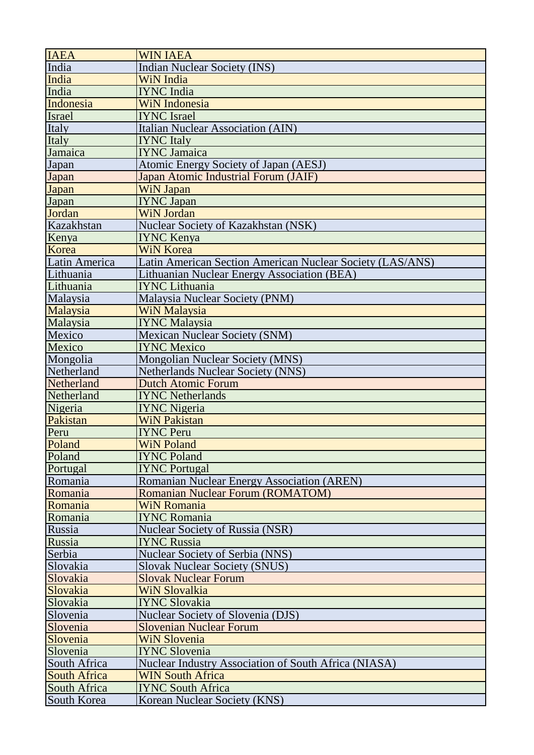| <b>IAEA</b>         | <b>WIN IAEA</b>                                             |
|---------------------|-------------------------------------------------------------|
| India               | <b>Indian Nuclear Society (INS)</b>                         |
| India               | WiN India                                                   |
| India               | <b>IYNC</b> India                                           |
| Indonesia           | <b>WiN</b> Indonesia                                        |
| Israel              | <b>IYNC</b> Israel                                          |
| Italy               | <b>Italian Nuclear Association (AIN)</b>                    |
| Italy               | <b>IYNC</b> Italy                                           |
| Jamaica             | <b>IYNC</b> Jamaica                                         |
| Japan               | <b>Atomic Energy Society of Japan (AESJ)</b>                |
| Japan               | <b>Japan Atomic Industrial Forum (JAIF)</b>                 |
| <b>Japan</b>        | WiN Japan                                                   |
| Japan               | <b>IYNC Japan</b>                                           |
| Jordan              | <b>WiN</b> Jordan                                           |
| Kazakhstan          | <b>Nuclear Society of Kazakhstan (NSK)</b>                  |
| Kenya               | <b>IYNC Kenya</b>                                           |
| Korea               | <b>WiN Korea</b>                                            |
| Latin America       | Latin American Section American Nuclear Society (LAS/ANS)   |
| Lithuania           | Lithuanian Nuclear Energy Association (BEA)                 |
| Lithuania           | <b>IYNC Lithuania</b>                                       |
| Malaysia            | Malaysia Nuclear Society (PNM)                              |
| Malaysia            | <b>WiN Malaysia</b>                                         |
| Malaysia            | <b>IYNC Malaysia</b>                                        |
| Mexico              | <b>Mexican Nuclear Society (SNM)</b>                        |
| Mexico              | <b>IYNC Mexico</b>                                          |
| Mongolia            | <b>Mongolian Nuclear Society (MNS)</b>                      |
| Netherland          | <b>Netherlands Nuclear Society (NNS)</b>                    |
| Netherland          | <b>Dutch Atomic Forum</b>                                   |
| Netherland          | <b>IYNC Netherlands</b>                                     |
| Nigeria             | <b>IYNC Nigeria</b>                                         |
| Pakistan            | <b>WiN Pakistan</b>                                         |
| Peru                | <b>IYNC Peru</b>                                            |
| Poland              | <b>WiN Poland</b>                                           |
| Poland              | <b>IYNC Poland</b>                                          |
| Portugal            | <b>IYNC Portugal</b>                                        |
| Romania             | <b>Romanian Nuclear Energy Association (AREN)</b>           |
| Romania             | <b>Romanian Nuclear Forum (ROMATOM)</b>                     |
| Romania             | <b>WiN Romania</b>                                          |
| Romania             | <b>IYNC Romania</b>                                         |
| Russia              | <b>Nuclear Society of Russia (NSR)</b>                      |
| Russia              | <b>IYNC Russia</b>                                          |
| Serbia              | Nuclear Society of Serbia (NNS)                             |
| Slovakia            | <b>Slovak Nuclear Society (SNUS)</b>                        |
| Slovakia            | <b>Slovak Nuclear Forum</b>                                 |
| Slovakia            | WiN Slovalkia                                               |
| Slovakia            | <b>IYNC Slovakia</b>                                        |
| Slovenia            | <b>Nuclear Society of Slovenia (DJS)</b>                    |
| Slovenia            | <b>Slovenian Nuclear Forum</b>                              |
| Slovenia            | <b>WiN Slovenia</b>                                         |
| Slovenia            | <b>IYNC Slovenia</b>                                        |
| South Africa        | <b>Nuclear Industry Association of South Africa (NIASA)</b> |
| <b>South Africa</b> | <b>WIN South Africa</b>                                     |
| South Africa        | <b>IYNC South Africa</b>                                    |
| <b>South Korea</b>  | Korean Nuclear Society (KNS)                                |